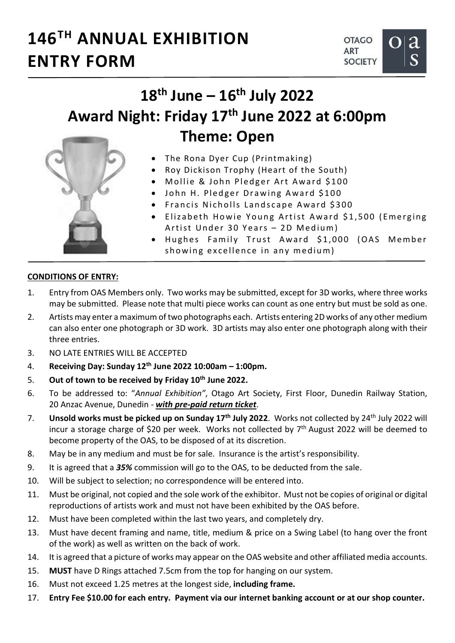## 146TH ANNUAL EXHIBITION ENTRY FORM



## $18<sup>th</sup>$  June –  $16<sup>th</sup>$  July 2022 Award Night: Friday 17<sup>th</sup> June 2022 at 6:00pm Theme: Open

- The Rona Dyer Cup (Printmaking)
- Roy Dickison Trophy (Heart of the South)
- $\bullet$  Mollie & John Pledger Art Award \$100
- John H. Pledger Drawing Award \$100
- **Francis Nicholls Landscape Award \$300**
- Elizabeth Howie Young Artist Award \$1,500 (Emerging Artist Under 30 Years - 2D Medium)
- Hughes Family Trust Award \$1,000 (OAS Member showing excellence in any medium)

## CONDITIONS OF ENTRY:

- 1. Entry from OAS Members only. Two works may be submitted, except for 3D works, where three works may be submitted. Please note that multi piece works can count as one entry but must be sold as one.
- 2. Artists may enter a maximum of two photographs each. Artists entering 2D works of any other medium can also enter one photograph or 3D work. 3D artists may also enter one photograph along with their three entries.
- 3. NO LATE ENTRIES WILL BE ACCEPTED
- 4. Receiving Day: Sunday  $12<sup>th</sup>$  June 2022  $10:00$ am 1:00pm.
- 5. Out of town to be received by Friday 10<sup>th</sup> June 2022.
- 6. To be addressed to: "Annual Exhibition", Otago Art Society, First Floor, Dunedin Railway Station, 20 Anzac Avenue, Dunedin - with pre-paid return ticket.
- 7. Unsold works must be picked up on Sunday 17<sup>th</sup> July 2022. Works not collected by 24<sup>th</sup> July 2022 will incur a storage charge of \$20 per week. Works not collected by  $7<sup>th</sup>$  August 2022 will be deemed to become property of the OAS, to be disposed of at its discretion.
- 8. May be in any medium and must be for sale. Insurance is the artist's responsibility.
- 9. It is agreed that a 35% commission will go to the OAS, to be deducted from the sale.
- 10. Will be subject to selection; no correspondence will be entered into.
- 11. Must be original, not copied and the sole work of the exhibitor. Must not be copies of original or digital reproductions of artists work and must not have been exhibited by the OAS before.
- 12. Must have been completed within the last two years, and completely dry.
- 13. Must have decent framing and name, title, medium & price on a Swing Label (to hang over the front of the work) as well as written on the back of work.
- 14. It is agreed that a picture of works may appear on the OAS website and other affiliated media accounts.
- 15. MUST have D Rings attached 7.5cm from the top for hanging on our system.
- 16. Must not exceed 1.25 metres at the longest side, including frame.
- 17. Entry Fee \$10.00 for each entry. Payment via our internet banking account or at our shop counter.